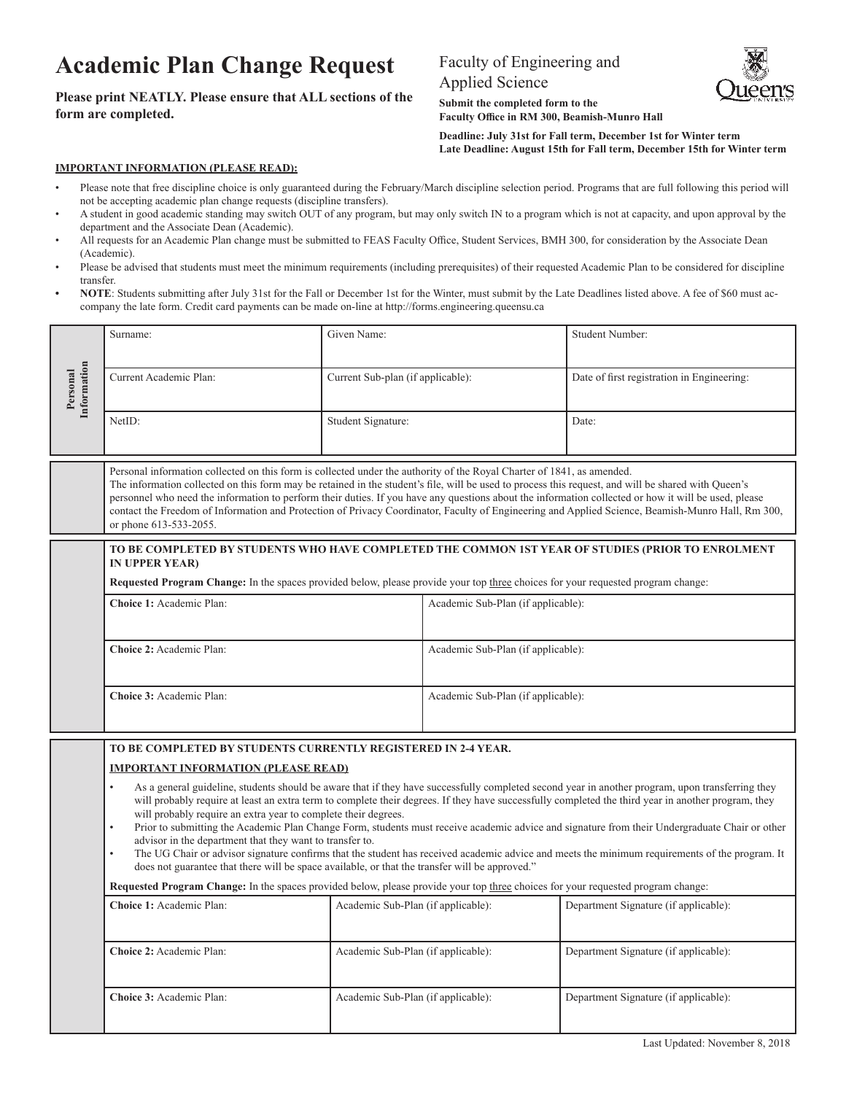## **Academic Plan Change Request**

## **Please print NEATLY. Please ensure that ALL sections of the form are completed.**

## Faculty of Engineering and

Applied Science



**Submit the completed form to the Faculty Office in RM 300, Beamish-Munro Hall**

**Deadline: July 31st for Fall term, December 1st for Winter term Late Deadline: August 15th for Fall term, December 15th for Winter term**

## **IMPORTANT INFORMATION (PLEASE READ):**

- Please note that free discipline choice is only guaranteed during the February/March discipline selection period. Programs that are full following this period will not be accepting academic plan change requests (discipline transfers).
- A student in good academic standing may switch OUT of any program, but may only switch IN to a program which is not at capacity, and upon approval by the department and the Associate Dean (Academic).
- All requests for an Academic Plan change must be submitted to FEAS Faculty Office, Student Services, BMH 300, for consideration by the Associate Dean (Academic).
- Please be advised that students must meet the minimum requirements (including prerequisites) of their requested Academic Plan to be considered for discipline transfer.
- **• NOTE**: Students submitting after July 31st for the Fall or December 1st for the Winter, must submit by the Late Deadlines listed above. A fee of \$60 must accompany the late form. Credit card payments can be made on-line at http://forms.engineering.queensu.ca

|                         | Surname:                                                                                                                                                                                                                                                                                                                                                                                                                                                                                                                                                                                                                                                                                                                                                                                                                                                                                                                                                                             | Given Name:                        |                                    | <b>Student Number:</b>                     |  |  |
|-------------------------|--------------------------------------------------------------------------------------------------------------------------------------------------------------------------------------------------------------------------------------------------------------------------------------------------------------------------------------------------------------------------------------------------------------------------------------------------------------------------------------------------------------------------------------------------------------------------------------------------------------------------------------------------------------------------------------------------------------------------------------------------------------------------------------------------------------------------------------------------------------------------------------------------------------------------------------------------------------------------------------|------------------------------------|------------------------------------|--------------------------------------------|--|--|
| Information<br>Personal | Current Academic Plan:                                                                                                                                                                                                                                                                                                                                                                                                                                                                                                                                                                                                                                                                                                                                                                                                                                                                                                                                                               | Current Sub-plan (if applicable):  |                                    | Date of first registration in Engineering: |  |  |
|                         | NetID:                                                                                                                                                                                                                                                                                                                                                                                                                                                                                                                                                                                                                                                                                                                                                                                                                                                                                                                                                                               | Student Signature:                 |                                    | Date:                                      |  |  |
|                         | Personal information collected on this form is collected under the authority of the Royal Charter of 1841, as amended.<br>The information collected on this form may be retained in the student's file, will be used to process this request, and will be shared with Queen's<br>personnel who need the information to perform their duties. If you have any questions about the information collected or how it will be used, please<br>contact the Freedom of Information and Protection of Privacy Coordinator, Faculty of Engineering and Applied Science, Beamish-Munro Hall, Rm 300,<br>or phone 613-533-2055.                                                                                                                                                                                                                                                                                                                                                                 |                                    |                                    |                                            |  |  |
|                         | TO BE COMPLETED BY STUDENTS WHO HAVE COMPLETED THE COMMON 1ST YEAR OF STUDIES (PRIOR TO ENROLMENT<br><b>IN UPPER YEAR)</b><br>Requested Program Change: In the spaces provided below, please provide your top three choices for your requested program change:                                                                                                                                                                                                                                                                                                                                                                                                                                                                                                                                                                                                                                                                                                                       |                                    |                                    |                                            |  |  |
|                         | Choice 1: Academic Plan:                                                                                                                                                                                                                                                                                                                                                                                                                                                                                                                                                                                                                                                                                                                                                                                                                                                                                                                                                             |                                    | Academic Sub-Plan (if applicable): |                                            |  |  |
|                         | Choice 2: Academic Plan:<br>Choice 3: Academic Plan:                                                                                                                                                                                                                                                                                                                                                                                                                                                                                                                                                                                                                                                                                                                                                                                                                                                                                                                                 |                                    | Academic Sub-Plan (if applicable): |                                            |  |  |
|                         |                                                                                                                                                                                                                                                                                                                                                                                                                                                                                                                                                                                                                                                                                                                                                                                                                                                                                                                                                                                      |                                    | Academic Sub-Plan (if applicable): |                                            |  |  |
|                         | TO BE COMPLETED BY STUDENTS CURRENTLY REGISTERED IN 2-4 YEAR.<br><b>IMPORTANT INFORMATION (PLEASE READ)</b><br>As a general guideline, students should be aware that if they have successfully completed second year in another program, upon transferring they<br>$\bullet$<br>will probably require at least an extra term to complete their degrees. If they have successfully completed the third year in another program, they<br>will probably require an extra year to complete their degrees.<br>Prior to submitting the Academic Plan Change Form, students must receive academic advice and signature from their Undergraduate Chair or other<br>$\bullet$<br>advisor in the department that they want to transfer to.<br>The UG Chair or advisor signature confirms that the student has received academic advice and meets the minimum requirements of the program. It<br>does not guarantee that there will be space available, or that the transfer will be approved." |                                    |                                    |                                            |  |  |
|                         |                                                                                                                                                                                                                                                                                                                                                                                                                                                                                                                                                                                                                                                                                                                                                                                                                                                                                                                                                                                      |                                    |                                    |                                            |  |  |
|                         |                                                                                                                                                                                                                                                                                                                                                                                                                                                                                                                                                                                                                                                                                                                                                                                                                                                                                                                                                                                      |                                    |                                    |                                            |  |  |
|                         | Requested Program Change: In the spaces provided below, please provide your top three choices for your requested program change:                                                                                                                                                                                                                                                                                                                                                                                                                                                                                                                                                                                                                                                                                                                                                                                                                                                     |                                    |                                    |                                            |  |  |
|                         | Choice 1: Academic Plan:                                                                                                                                                                                                                                                                                                                                                                                                                                                                                                                                                                                                                                                                                                                                                                                                                                                                                                                                                             | Academic Sub-Plan (if applicable): |                                    | Department Signature (if applicable):      |  |  |
|                         | Choice 2: Academic Plan:                                                                                                                                                                                                                                                                                                                                                                                                                                                                                                                                                                                                                                                                                                                                                                                                                                                                                                                                                             | Academic Sub-Plan (if applicable): |                                    | Department Signature (if applicable):      |  |  |
|                         | Academic Sub-Plan (if applicable):<br>Choice 3: Academic Plan:                                                                                                                                                                                                                                                                                                                                                                                                                                                                                                                                                                                                                                                                                                                                                                                                                                                                                                                       |                                    |                                    | Department Signature (if applicable):      |  |  |